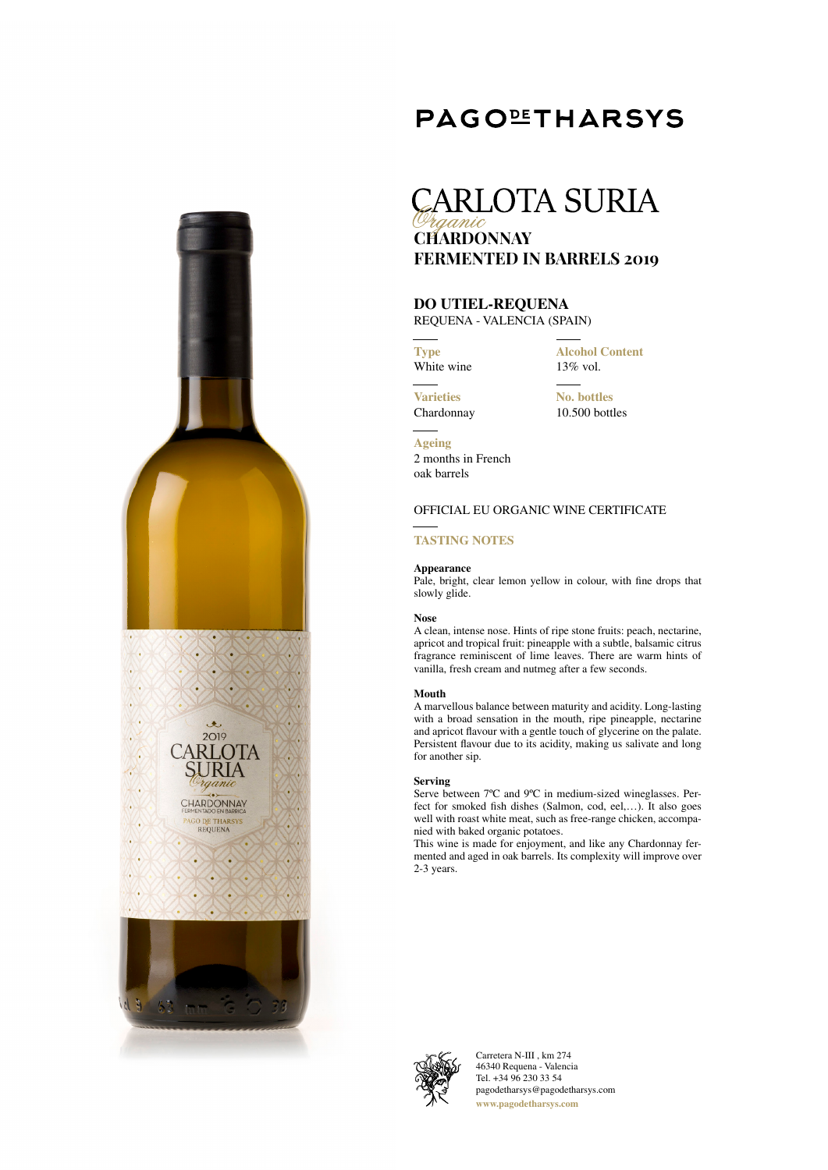## **PAGOLETHARSYS**

## **CARLOTA SURIA CHARDONNAY FERMENTED IN BARRELS 2019**

## **DO UTIEL-REQUENA**

REQUENA - VALENCIA (SPAIN)

**Type** White wine **Alcohol Content** 13% vol.

**Varieties** Chardonnay **No. bottles** 10.500 bottles

**Ageing** 2 months in French oak barrels

## OFFICIAL EU ORGANIC WINE CERTIFICATE

## **TASTING NOTES**

### **Appearance**

Pale, bright, clear lemon yellow in colour, with fine drops that slowly glide.

### **Nose**

 $\langle \cdot \rangle$ V,  $\langle \cdot \rangle$ ۸. Z.

A

KG.

 $\langle \rangle$ 

V.

 $\langle \cdot \rangle$ 

4

v. Ø.

 $. 4.$ 2019

RLOTA

URIA

rganic

CHARDONNAY

PAGO DE THARSYS<br>REQUENA

z.

r.

A clean, intense nose. Hints of ripe stone fruits: peach, nectarine, apricot and tropical fruit: pineapple with a subtle, balsamic citrus fragrance reminiscent of lime leaves. There are warm hints of vanilla, fresh cream and nutmeg after a few seconds.

### **Mouth**

A marvellous balance between maturity and acidity. Long-lasting with a broad sensation in the mouth, ripe pineapple, nectarine and apricot flavour with a gentle touch of glycerine on the palate. Persistent flavour due to its acidity, making us salivate and long for another sip.

### **Serving**

Serve between 7°C and 9°C in medium-sized wineglasses. Perfect for smoked fish dishes (Salmon, cod, eel,…). It also goes well with roast white meat, such as free-range chicken, accompanied with baked organic potatoes.

This wine is made for enjoyment, and like any Chardonnay fermented and aged in oak barrels. Its complexity will improve over 2-3 years.



Carretera N-III , km 274 46340 Requena - Valencia Tel. +34 96 230 33 54 pagodetharsys@pagodetharsys.com **www.pagodetharsys.com**